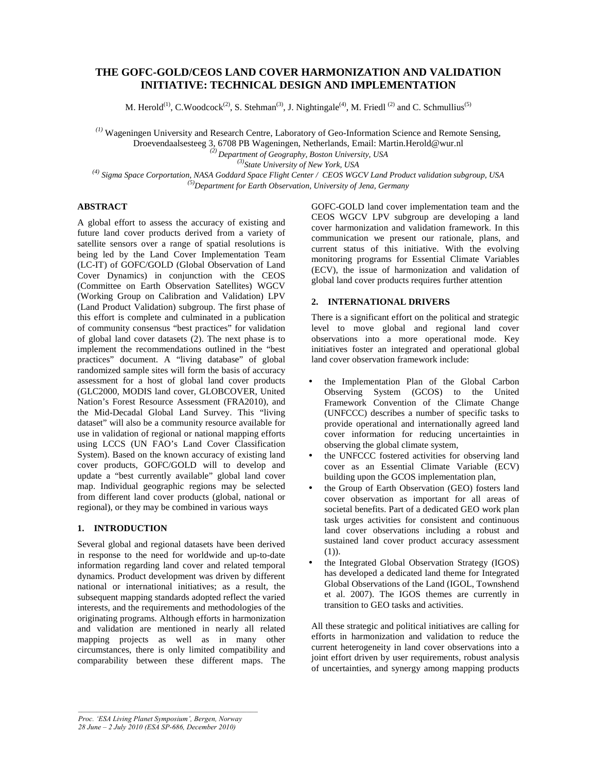# **THE GOFC-GOLD/CEOS LAND COVER HARMONIZATION AND VALIDATION INITIATIVE: TECHNICAL DESIGN AND IMPLEMENTATION**

M. Herold<sup>(1)</sup>, C.Woodcock<sup>(2)</sup>, S. Stehman<sup>(3)</sup>, J. Nightingale<sup>(4)</sup>, M. Friedl<sup>(2)</sup> and C. Schmullius<sup>(5)</sup>

*(1)* Wageningen University and Research Centre, Laboratory of Geo-Information Science and Remote Sensing,

Droevendaalsesteeg 3, 6708 PB Wageningen, Netherlands, Email: Martin.Herold@wur.nl

*(2) Department of Geography, Boston University, USA*

*(3)State University of New York, USA*

*(4) Sigma Space Corportation, NASA Goddard Space Flight Center / CEOS WGCV Land Product validation subgroup, USA (5)Department for Earth Observation, University of Jena, Germany*

## **ABSTRACT**

A global effort to assess the accuracy of existing and future land cover products derived from a variety of satellite sensors over a range of spatial resolutions is being led by the Land Cover Implementation Team (LC-IT) of GOFC/GOLD (Global Observation of Land Cover Dynamics) in conjunction with the CEOS (Committee on Earth Observation Satellites) WGCV (Working Group on Calibration and Validation) LPV (Land Product Validation) subgroup. The first phase of this effort is complete and culminated in a publication of community consensus "best practices" for validation of global land cover datasets (2). The next phase is to implement the recommendations outlined in the "best practices" document. A "living database" of global randomized sample sites will form the basis of accuracy assessment for a host of global land cover products (GLC2000, MODIS land cover, GLOBCOVER, United Nation's Forest Resource Assessment (FRA2010), and the Mid-Decadal Global Land Survey. This "living dataset" will also be a community resource available for use in validation of regional or national mapping efforts using LCCS (UN FAO's Land Cover Classification System). Based on the known accuracy of existing land cover products, GOFC/GOLD will to develop and update a "best currently available" global land cover map. Individual geographic regions may be selected from different land cover products (global, national or regional), or they may be combined in various ways

## **1. INTRODUCTION**

Several global and regional datasets have been derived in response to the need for worldwide and up-to-date information regarding land cover and related temporal dynamics. Product development was driven by different national or international initiatives; as a result, the subsequent mapping standards adopted reflect the varied interests, and the requirements and methodologies of the originating programs. Although efforts in harmonization and validation are mentioned in nearly all related mapping projects as well as in many other circumstances, there is only limited compatibility and comparability between these different maps. The GOFC-GOLD land cover implementation team and the CEOS WGCV LPV subgroup are developing a land cover harmonization and validation framework. In this communication we present our rationale, plans, and current status of this initiative. With the evolving monitoring programs for Essential Climate Variables (ECV), the issue of harmonization and validation of global land cover products requires further attention

## **2. INTERNATIONAL DRIVERS**

There is a significant effort on the political and strategic level to move global and regional land cover observations into a more operational mode. Key initiatives foster an integrated and operational global land cover observation framework include:

- the Implementation Plan of the Global Carbon Observing System (GCOS) to the United Framework Convention of the Climate Change (UNFCCC) describes a number of specific tasks to provide operational and internationally agreed land cover information for reducing uncertainties in observing the global climate system,
- the UNFCCC fostered activities for observing land cover as an Essential Climate Variable (ECV) building upon the GCOS implementation plan,
- the Group of Earth Observation (GEO) fosters land cover observation as important for all areas of societal benefits. Part of a dedicated GEO work plan task urges activities for consistent and continuous land cover observations including a robust and sustained land cover product accuracy assessment (1)).
- the Integrated Global Observation Strategy (IGOS) has developed a dedicated land theme for Integrated Global Observations of the Land (IGOL, Townshend et al. 2007). The IGOS themes are currently in transition to GEO tasks and activities.

All these strategic and political initiatives are calling for efforts in harmonization and validation to reduce the current heterogeneity in land cover observations into a joint effort driven by user requirements, robust analysis of uncertainties, and synergy among mapping products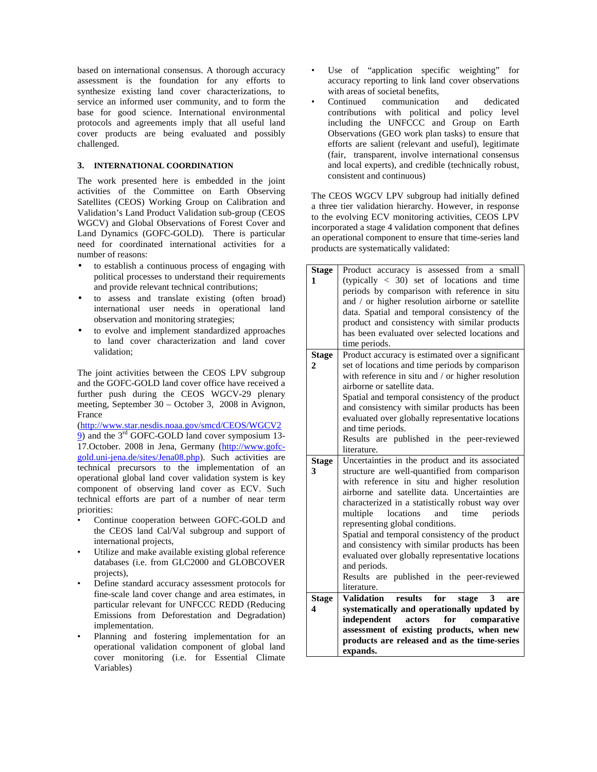based on international consensus. A thorough accuracy assessment is the foundation for any efforts to synthesize existing land cover characterizations, to service an informed user community, and to form the base for good science. International environmental protocols and agreements imply that all useful land cover products are being evaluated and possibly challenged.

## **3. INTERNATIONAL COORDINATION**

The work presented here is embedded in the joint activities of the Committee on Earth Observing Satellites (CEOS) Working Group on Calibration and Validation's Land Product Validation sub-group (CEOS WGCV) and Global Observations of Forest Cover and Land Dynamics (GOFC-GOLD). There is particular need for coordinated international activities for a number of reasons:

- to establish a continuous process of engaging with political processes to understand their requirements and provide relevant technical contributions;
- to assess and translate existing (often broad) international user needs in operational land observation and monitoring strategies;
- to evolve and implement standardized approaches to land cover characterization and land cover validation;

The joint activities between the CEOS LPV subgroup and the GOFC-GOLD land cover office have received a further push during the CEOS WGCV-29 plenary meeting, September 30 – October 3, 2008 in Avignon, France

(http://www.star.nesdis.noaa.gov/smcd/CEOS/WGCV2 9) and the 3<sup>rd</sup> GOFC-GOLD land cover symposium 13-17.October. 2008 in Jena, Germany (http://www.gofcgold.uni-jena.de/sites/Jena08.php). Such activities are technical precursors to the implementation of an operational global land cover validation system is key component of observing land cover as ECV. Such technical efforts are part of a number of near term priorities:

- Continue cooperation between GOFC-GOLD and the CEOS land Cal/Val subgroup and support of international projects,
- Utilize and make available existing global reference databases (i.e. from GLC2000 and GLOBCOVER projects),
- Define standard accuracy assessment protocols for fine-scale land cover change and area estimates, in particular relevant for UNFCCC REDD (Reducing Emissions from Deforestation and Degradation) implementation.
- Planning and fostering implementation for an operational validation component of global land cover monitoring (i.e. for Essential Climate Variables)
- Use of "application specific weighting" for accuracy reporting to link land cover observations with areas of societal benefits,
- Continued communication and dedicated contributions with political and policy level including the UNFCCC and Group on Earth Observations (GEO work plan tasks) to ensure that efforts are salient (relevant and useful), legitimate (fair, transparent, involve international consensus and local experts), and credible (technically robust, consistent and continuous)

The CEOS WGCV LPV subgroup had initially defined a three tier validation hierarchy. However, in response to the evolving ECV monitoring activities, CEOS LPV incorporated a stage 4 validation component that defines an operational component to ensure that time-series land products are systematically validated:

| <b>Stage</b> | Product accuracy is assessed from a small                |
|--------------|----------------------------------------------------------|
| 1            | (typically $<$ 30) set of locations and time             |
|              | periods by comparison with reference in situ             |
|              | and / or higher resolution airborne or satellite         |
|              | data. Spatial and temporal consistency of the            |
|              | product and consistency with similar products            |
|              | has been evaluated over selected locations and           |
|              | time periods.                                            |
|              |                                                          |
| <b>Stage</b> | Product accuracy is estimated over a significant         |
| 2            | set of locations and time periods by comparison          |
|              | with reference in situ and / or higher resolution        |
|              | airborne or satellite data.                              |
|              | Spatial and temporal consistency of the product          |
|              | and consistency with similar products has been           |
|              | evaluated over globally representative locations         |
|              | and time periods.                                        |
|              | Results are published in the peer-reviewed               |
|              | literature.                                              |
| <b>Stage</b> | Uncertainties in the product and its associated          |
| 3            | structure are well-quantified from comparison            |
|              | with reference in situ and higher resolution             |
|              | airborne and satellite data. Uncertainties are           |
|              | characterized in a statistically robust way over         |
|              | multiple<br>locations<br>and<br>time<br>periods          |
|              | representing global conditions.                          |
|              | Spatial and temporal consistency of the product          |
|              | and consistency with similar products has been           |
|              | evaluated over globally representative locations         |
|              | and periods.                                             |
|              |                                                          |
|              | Results are published in the peer-reviewed               |
|              | literature.                                              |
| <b>Stage</b> | for<br>results<br><b>Validation</b><br>stage<br>3<br>are |
| 4            | systematically and operationally updated by              |
|              | actors<br>for<br>independent<br>comparative              |
|              | assessment of existing products, when new                |
|              | products are released and as the time-series             |
|              | expands.                                                 |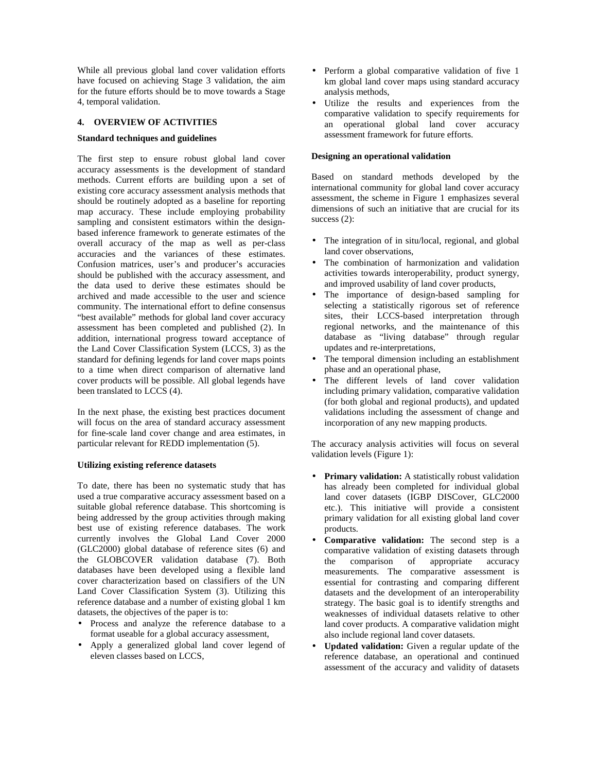While all previous global land cover validation efforts have focused on achieving Stage 3 validation, the aim for the future efforts should be to move towards a Stage 4, temporal validation.

### **4. OVERVIEW OF ACTIVITIES**

#### **Standard techniques and guidelines**

The first step to ensure robust global land cover accuracy assessments is the development of standard methods. Current efforts are building upon a set of existing core accuracy assessment analysis methods that should be routinely adopted as a baseline for reporting map accuracy. These include employing probability sampling and consistent estimators within the designbased inference framework to generate estimates of the overall accuracy of the map as well as per-class accuracies and the variances of these estimates. Confusion matrices, user's and producer's accuracies should be published with the accuracy assessment, and the data used to derive these estimates should be archived and made accessible to the user and science community. The international effort to define consensus "best available" methods for global land cover accuracy assessment has been completed and published (2). In addition, international progress toward acceptance of the Land Cover Classification System (LCCS, 3) as the standard for defining legends for land cover maps points to a time when direct comparison of alternative land cover products will be possible. All global legends have been translated to LCCS (4).

In the next phase, the existing best practices document will focus on the area of standard accuracy assessment for fine-scale land cover change and area estimates, in particular relevant for REDD implementation (5).

#### **Utilizing existing reference datasets**

To date, there has been no systematic study that has used a true comparative accuracy assessment based on a suitable global reference database. This shortcoming is being addressed by the group activities through making best use of existing reference databases. The work currently involves the Global Land Cover 2000 (GLC2000) global database of reference sites (6) and the GLOBCOVER validation database (7). Both databases have been developed using a flexible land cover characterization based on classifiers of the UN Land Cover Classification System (3). Utilizing this reference database and a number of existing global 1 km datasets, the objectives of the paper is to:

- Process and analyze the reference database to a format useable for a global accuracy assessment,
- Apply a generalized global land cover legend of eleven classes based on LCCS,
- Perform a global comparative validation of five 1 km global land cover maps using standard accuracy analysis methods,
- Utilize the results and experiences from the comparative validation to specify requirements for an operational global land cover accuracy assessment framework for future efforts.

### **Designing an operational validation**

Based on standard methods developed by the international community for global land cover accuracy assessment, the scheme in Figure 1 emphasizes several dimensions of such an initiative that are crucial for its success  $(2)$ :

- The integration of in situ/local, regional, and global land cover observations,
- The combination of harmonization and validation activities towards interoperability, product synergy, and improved usability of land cover products,
- The importance of design-based sampling for selecting a statistically rigorous set of reference sites, their LCCS-based interpretation through regional networks, and the maintenance of this database as "living database" through regular updates and re-interpretations,
- The temporal dimension including an establishment phase and an operational phase,
- The different levels of land cover validation including primary validation, comparative validation (for both global and regional products), and updated validations including the assessment of change and incorporation of any new mapping products.

The accuracy analysis activities will focus on several validation levels (Figure 1):

- **Primary validation:** A statistically robust validation has already been completed for individual global land cover datasets (IGBP DISCover, GLC2000 etc.). This initiative will provide a consistent primary validation for all existing global land cover products.
- **Comparative validation:** The second step is a comparative validation of existing datasets through the comparison of appropriate accuracy measurements. The comparative assessment is essential for contrasting and comparing different datasets and the development of an interoperability strategy. The basic goal is to identify strengths and weaknesses of individual datasets relative to other land cover products. A comparative validation might also include regional land cover datasets.
- **Updated validation:** Given a regular update of the reference database, an operational and continued assessment of the accuracy and validity of datasets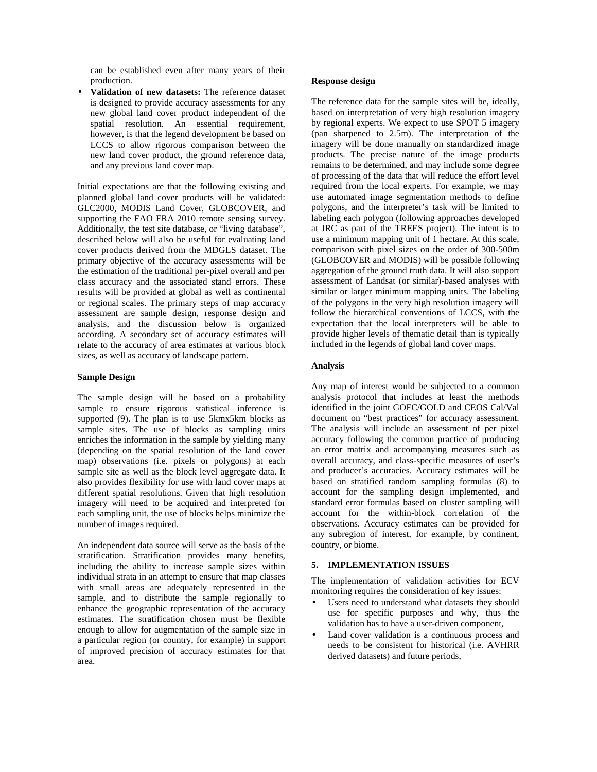can be established even after many years of their production.

• **Validation of new datasets:** The reference dataset is designed to provide accuracy assessments for any new global land cover product independent of the spatial resolution. An essential requirement, however, is that the legend development be based on LCCS to allow rigorous comparison between the new land cover product, the ground reference data, and any previous land cover map.

Initial expectations are that the following existing and planned global land cover products will be validated: GLC2000, MODIS Land Cover, GLOBCOVER, and supporting the FAO FRA 2010 remote sensing survey. Additionally, the test site database, or "living database", described below will also be useful for evaluating land cover products derived from the MDGLS dataset. The primary objective of the accuracy assessments will be the estimation of the traditional per-pixel overall and per class accuracy and the associated stand errors. These results will be provided at global as well as continental or regional scales. The primary steps of map accuracy assessment are sample design, response design and analysis, and the discussion below is organized according. A secondary set of accuracy estimates will relate to the accuracy of area estimates at various block sizes, as well as accuracy of landscape pattern.

#### **Sample Design**

The sample design will be based on a probability sample to ensure rigorous statistical inference is supported (9). The plan is to use 5kmx5km blocks as sample sites. The use of blocks as sampling units enriches the information in the sample by yielding many (depending on the spatial resolution of the land cover map) observations (i.e. pixels or polygons) at each sample site as well as the block level aggregate data. It also provides flexibility for use with land cover maps at different spatial resolutions. Given that high resolution imagery will need to be acquired and interpreted for each sampling unit, the use of blocks helps minimize the number of images required.

An independent data source will serve as the basis of the stratification. Stratification provides many benefits, including the ability to increase sample sizes within individual strata in an attempt to ensure that map classes with small areas are adequately represented in the sample, and to distribute the sample regionally to enhance the geographic representation of the accuracy estimates. The stratification chosen must be flexible enough to allow for augmentation of the sample size in a particular region (or country, for example) in support of improved precision of accuracy estimates for that area.

#### **Response design**

The reference data for the sample sites will be, ideally, based on interpretation of very high resolution imagery by regional experts. We expect to use SPOT 5 imagery (pan sharpened to 2.5m). The interpretation of the imagery will be done manually on standardized image products. The precise nature of the image products remains to be determined, and may include some degree of processing of the data that will reduce the effort level required from the local experts. For example, we may use automated image segmentation methods to define polygons, and the interpreter's task will be limited to labeling each polygon (following approaches developed at JRC as part of the TREES project). The intent is to use a minimum mapping unit of 1 hectare. At this scale, comparison with pixel sizes on the order of 300-500m (GLOBCOVER and MODIS) will be possible following aggregation of the ground truth data. It will also support assessment of Landsat (or similar)-based analyses with similar or larger minimum mapping units. The labeling of the polygons in the very high resolution imagery will follow the hierarchical conventions of LCCS, with the expectation that the local interpreters will be able to provide higher levels of thematic detail than is typically included in the legends of global land cover maps.

### **Analysis**

Any map of interest would be subjected to a common analysis protocol that includes at least the methods identified in the joint GOFC/GOLD and CEOS Cal/Val document on "best practices" for accuracy assessment. The analysis will include an assessment of per pixel accuracy following the common practice of producing an error matrix and accompanying measures such as overall accuracy, and class-specific measures of user's and producer's accuracies. Accuracy estimates will be based on stratified random sampling formulas (8) to account for the sampling design implemented, and standard error formulas based on cluster sampling will account for the within-block correlation of the observations. Accuracy estimates can be provided for any subregion of interest, for example, by continent, country, or biome.

### **5. IMPLEMENTATION ISSUES**

The implementation of validation activities for ECV monitoring requires the consideration of key issues:

- Users need to understand what datasets they should use for specific purposes and why, thus the validation has to have a user-driven component,
- Land cover validation is a continuous process and needs to be consistent for historical (i.e. AVHRR derived datasets) and future periods,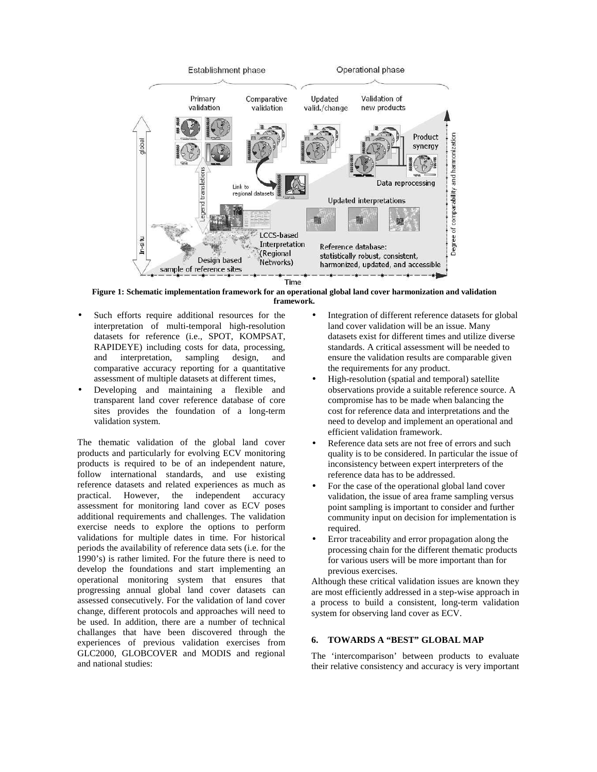

**Figure 1: Schematic implementation framework for an operational global land cover harmonization and validation framework.**

- Such efforts require additional resources for the interpretation of multi-temporal high-resolution datasets for reference (i.e., SPOT, KOMPSAT, RAPIDEYE) including costs for data, processing, and interpretation, sampling design, and comparative accuracy reporting for a quantitative assessment of multiple datasets at different times,
- Developing and maintaining a flexible and transparent land cover reference database of core sites provides the foundation of a long-term validation system.

The thematic validation of the global land cover products and particularly for evolving ECV monitoring products is required to be of an independent nature, follow international standards, and use existing reference datasets and related experiences as much as practical. However, the independent accuracy assessment for monitoring land cover as ECV poses additional requirements and challenges. The validation exercise needs to explore the options to perform validations for multiple dates in time. For historical periods the availability of reference data sets (i.e. for the 1990's) is rather limited. For the future there is need to develop the foundations and start implementing an operational monitoring system that ensures that progressing annual global land cover datasets can assessed consecutively. For the validation of land cover change, different protocols and approaches will need to be used. In addition, there are a number of technical challanges that have been discovered through the experiences of previous validation exercises from GLC2000, GLOBCOVER and MODIS and regional and national studies:

- Integration of different reference datasets for global land cover validation will be an issue. Many datasets exist for different times and utilize diverse standards. A critical assessment will be needed to ensure the validation results are comparable given the requirements for any product.
- High-resolution (spatial and temporal) satellite observations provide a suitable reference source. A compromise has to be made when balancing the cost for reference data and interpretations and the need to develop and implement an operational and efficient validation framework.
- Reference data sets are not free of errors and such quality is to be considered. In particular the issue of inconsistency between expert interpreters of the reference data has to be addressed.
- For the case of the operational global land cover validation, the issue of area frame sampling versus point sampling is important to consider and further community input on decision for implementation is required.
- Error traceability and error propagation along the processing chain for the different thematic products for various users will be more important than for previous exercises.

Although these critical validation issues are known they are most efficiently addressed in a step-wise approach in a process to build a consistent, long-term validation system for observing land cover as ECV.

## **6. TOWARDS A "BEST" GLOBAL MAP**

The 'intercomparison' between products to evaluate their relative consistency and accuracy is very important